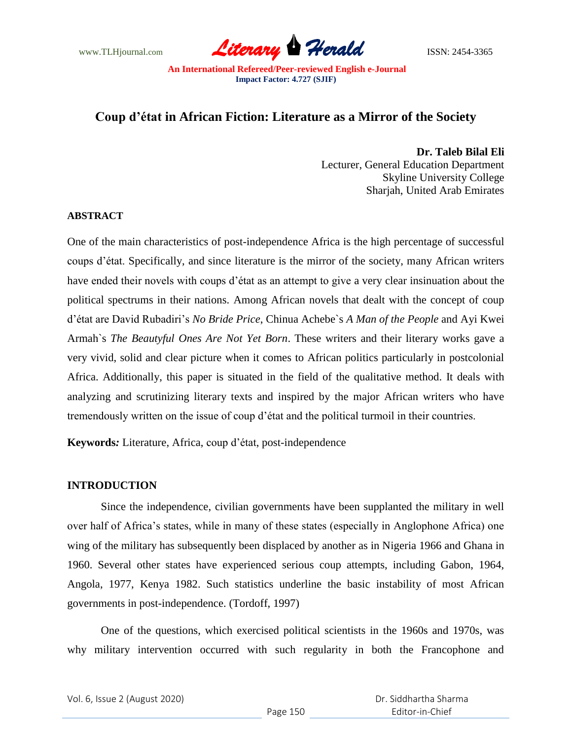

# **Coup d'état in African Fiction: Literature as a Mirror of the Society**

**Dr. Taleb Bilal Eli** Lecturer, General Education Department Skyline University College Sharjah, United Arab Emirates

# **ABSTRACT**

One of the main characteristics of post-independence Africa is the high percentage of successful coups d"état. Specifically, and since literature is the mirror of the society, many African writers have ended their novels with coups d"état as an attempt to give a very clear insinuation about the political spectrums in their nations. Among African novels that dealt with the concept of coup d"état are David Rubadiri"s *No Bride Price*, Chinua Achebe`s *A Man of the People* and Ayi Kwei Armah`s *The Beautyful Ones Are Not Yet Born*. These writers and their literary works gave a very vivid, solid and clear picture when it comes to African politics particularly in postcolonial Africa. Additionally, this paper is situated in the field of the qualitative method. It deals with analyzing and scrutinizing literary texts and inspired by the major African writers who have tremendously written on the issue of coup d"état and the political turmoil in their countries.

**Keywords***:* Literature, Africa, coup d"état, post-independence

### **INTRODUCTION**

Since the independence, civilian governments have been supplanted the military in well over half of Africa"s states, while in many of these states (especially in Anglophone Africa) one wing of the military has subsequently been displaced by another as in Nigeria 1966 and Ghana in 1960. Several other states have experienced serious coup attempts, including Gabon, 1964, Angola, 1977, Kenya 1982. Such statistics underline the basic instability of most African governments in post-independence. (Tordoff, 1997)

One of the questions, which exercised political scientists in the 1960s and 1970s, was why military intervention occurred with such regularity in both the Francophone and

|  | Vol. 6, Issue 2 (August 2020) |
|--|-------------------------------|
|--|-------------------------------|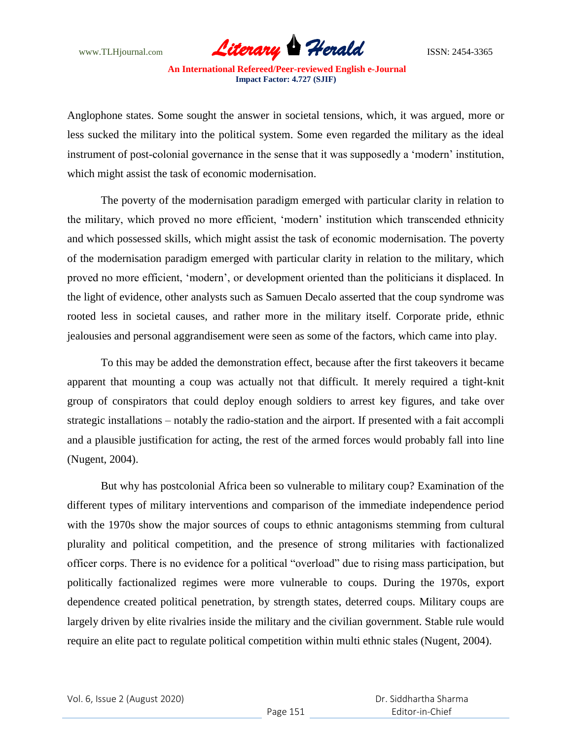

Anglophone states. Some sought the answer in societal tensions, which, it was argued, more or less sucked the military into the political system. Some even regarded the military as the ideal instrument of post-colonial governance in the sense that it was supposedly a 'modern' institution, which might assist the task of economic modernisation.

The poverty of the modernisation paradigm emerged with particular clarity in relation to the military, which proved no more efficient, "modern" institution which transcended ethnicity and which possessed skills, which might assist the task of economic modernisation. The poverty of the modernisation paradigm emerged with particular clarity in relation to the military, which proved no more efficient, "modern", or development oriented than the politicians it displaced. In the light of evidence, other analysts such as Samuen Decalo asserted that the coup syndrome was rooted less in societal causes, and rather more in the military itself. Corporate pride, ethnic jealousies and personal aggrandisement were seen as some of the factors, which came into play.

To this may be added the demonstration effect, because after the first takeovers it became apparent that mounting a coup was actually not that difficult. It merely required a tight-knit group of conspirators that could deploy enough soldiers to arrest key figures, and take over strategic installations – notably the radio-station and the airport. If presented with a fait accompli and a plausible justification for acting, the rest of the armed forces would probably fall into line (Nugent, 2004).

But why has postcolonial Africa been so vulnerable to military coup? Examination of the different types of military interventions and comparison of the immediate independence period with the 1970s show the major sources of coups to ethnic antagonisms stemming from cultural plurality and political competition, and the presence of strong militaries with factionalized officer corps. There is no evidence for a political "overload" due to rising mass participation, but politically factionalized regimes were more vulnerable to coups. During the 1970s, export dependence created political penetration, by strength states, deterred coups. Military coups are largely driven by elite rivalries inside the military and the civilian government. Stable rule would require an elite pact to regulate political competition within multi ethnic stales (Nugent, 2004).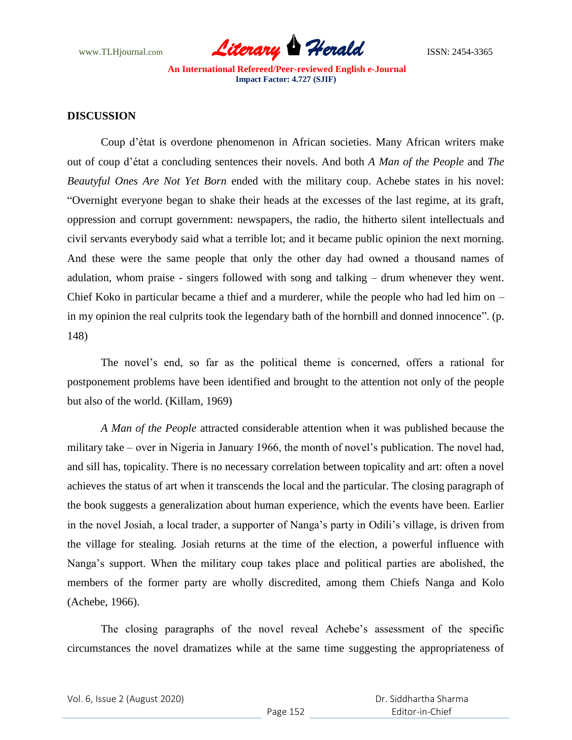

# **DISCUSSION**

Coup d"état is overdone phenomenon in African societies. Many African writers make out of coup d"état a concluding sentences their novels. And both *A Man of the People* and *The Beautyful Ones Are Not Yet Born* ended with the military coup. Achebe states in his novel: "Overnight everyone began to shake their heads at the excesses of the last regime, at its graft, oppression and corrupt government: newspapers, the radio, the hitherto silent intellectuals and civil servants everybody said what a terrible lot; and it became public opinion the next morning. And these were the same people that only the other day had owned a thousand names of adulation, whom praise - singers followed with song and talking – drum whenever they went. Chief Koko in particular became a thief and a murderer, while the people who had led him on – in my opinion the real culprits took the legendary bath of the hornbill and donned innocence". (p. 148)

The novel"s end, so far as the political theme is concerned, offers a rational for postponement problems have been identified and brought to the attention not only of the people but also of the world. (Killam, 1969)

*A Man of the People* attracted considerable attention when it was published because the military take – over in Nigeria in January 1966, the month of novel"s publication. The novel had, and sill has, topicality. There is no necessary correlation between topicality and art: often a novel achieves the status of art when it transcends the local and the particular. The closing paragraph of the book suggests a generalization about human experience, which the events have been. Earlier in the novel Josiah, a local trader, a supporter of Nanga"s party in Odili"s village, is driven from the village for stealing. Josiah returns at the time of the election, a powerful influence with Nanga"s support. When the military coup takes place and political parties are abolished, the members of the former party are wholly discredited, among them Chiefs Nanga and Kolo (Achebe, 1966).

The closing paragraphs of the novel reveal Achebe"s assessment of the specific circumstances the novel dramatizes while at the same time suggesting the appropriateness of

|  | Vol. 6, Issue 2 (August 2020) |
|--|-------------------------------|
|--|-------------------------------|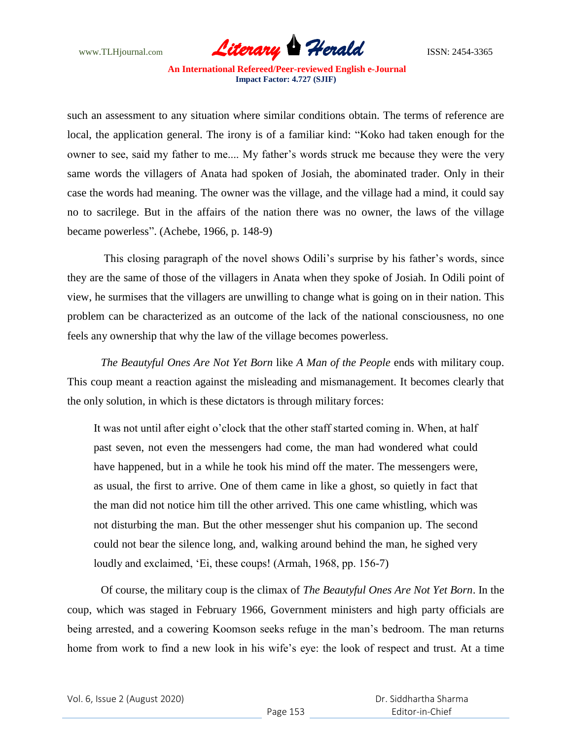

such an assessment to any situation where similar conditions obtain. The terms of reference are local, the application general. The irony is of a familiar kind: "Koko had taken enough for the owner to see, said my father to me.... My father"s words struck me because they were the very same words the villagers of Anata had spoken of Josiah, the abominated trader. Only in their case the words had meaning. The owner was the village, and the village had a mind, it could say no to sacrilege. But in the affairs of the nation there was no owner, the laws of the village became powerless". (Achebe, 1966, p. 148-9)

This closing paragraph of the novel shows Odili's surprise by his father's words, since they are the same of those of the villagers in Anata when they spoke of Josiah. In Odili point of view, he surmises that the villagers are unwilling to change what is going on in their nation. This problem can be characterized as an outcome of the lack of the national consciousness, no one feels any ownership that why the law of the village becomes powerless.

*The Beautyful Ones Are Not Yet Born* like *A Man of the People* ends with military coup. This coup meant a reaction against the misleading and mismanagement. It becomes clearly that the only solution, in which is these dictators is through military forces:

It was not until after eight o"clock that the other staff started coming in. When, at half past seven, not even the messengers had come, the man had wondered what could have happened, but in a while he took his mind off the mater. The messengers were, as usual, the first to arrive. One of them came in like a ghost, so quietly in fact that the man did not notice him till the other arrived. This one came whistling, which was not disturbing the man. But the other messenger shut his companion up. The second could not bear the silence long, and, walking around behind the man, he sighed very loudly and exclaimed, 'Ei, these coups! (Armah, 1968, pp. 156-7)

Of course, the military coup is the climax of *The Beautyful Ones Are Not Yet Born*. In the coup, which was staged in February 1966, Government ministers and high party officials are being arrested, and a cowering Koomson seeks refuge in the man"s bedroom. The man returns home from work to find a new look in his wife's eye: the look of respect and trust. At a time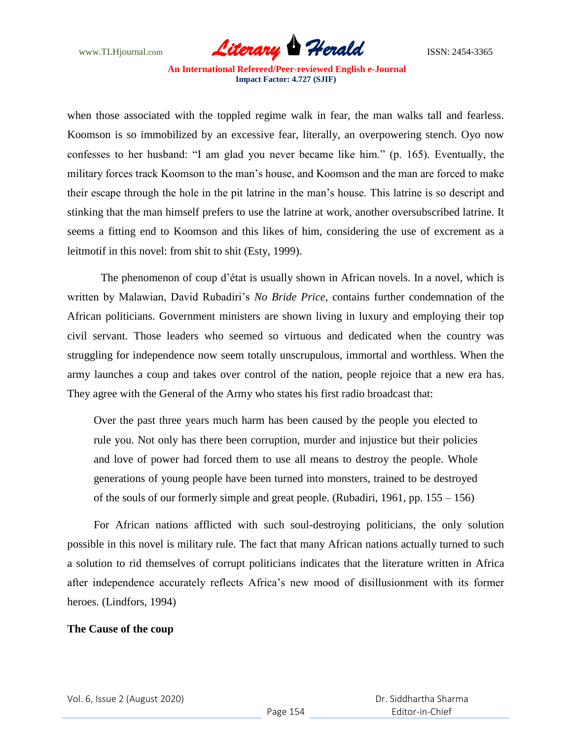

when those associated with the toppled regime walk in fear, the man walks tall and fearless. Koomson is so immobilized by an excessive fear, literally, an overpowering stench. Oyo now confesses to her husband: "I am glad you never became like him." (p. 165). Eventually, the military forces track Koomson to the man"s house, and Koomson and the man are forced to make their escape through the hole in the pit latrine in the man"s house. This latrine is so descript and stinking that the man himself prefers to use the latrine at work, another oversubscribed latrine. It seems a fitting end to Koomson and this likes of him, considering the use of excrement as a leitmotif in this novel: from shit to shit (Esty, 1999).

The phenomenon of coup d"état is usually shown in African novels. In a novel, which is written by Malawian, David Rubadiri"s *No Bride Price*, contains further condemnation of the African politicians. Government ministers are shown living in luxury and employing their top civil servant. Those leaders who seemed so virtuous and dedicated when the country was struggling for independence now seem totally unscrupulous, immortal and worthless. When the army launches a coup and takes over control of the nation, people rejoice that a new era has. They agree with the General of the Army who states his first radio broadcast that:

Over the past three years much harm has been caused by the people you elected to rule you. Not only has there been corruption, murder and injustice but their policies and love of power had forced them to use all means to destroy the people. Whole generations of young people have been turned into monsters, trained to be destroyed of the souls of our formerly simple and great people. (Rubadiri, 1961, pp. 155 – 156)

For African nations afflicted with such soul-destroying politicians, the only solution possible in this novel is military rule. The fact that many African nations actually turned to such a solution to rid themselves of corrupt politicians indicates that the literature written in Africa after independence accurately reflects Africa"s new mood of disillusionment with its former heroes. (Lindfors, 1994)

### **The Cause of the coup**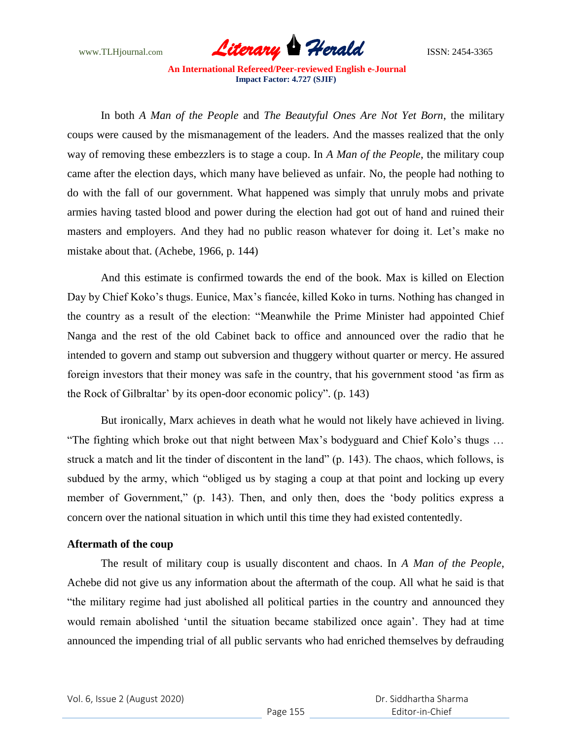

In both *A Man of the People* and *The Beautyful Ones Are Not Yet Born*, the military coups were caused by the mismanagement of the leaders. And the masses realized that the only way of removing these embezzlers is to stage a coup. In *A Man of the People*, the military coup came after the election days, which many have believed as unfair. No, the people had nothing to do with the fall of our government. What happened was simply that unruly mobs and private armies having tasted blood and power during the election had got out of hand and ruined their masters and employers. And they had no public reason whatever for doing it. Let's make no mistake about that. (Achebe, 1966, p. 144)

And this estimate is confirmed towards the end of the book. Max is killed on Election Day by Chief Koko"s thugs. Eunice, Max"s fiancée, killed Koko in turns. Nothing has changed in the country as a result of the election: "Meanwhile the Prime Minister had appointed Chief Nanga and the rest of the old Cabinet back to office and announced over the radio that he intended to govern and stamp out subversion and thuggery without quarter or mercy. He assured foreign investors that their money was safe in the country, that his government stood "as firm as the Rock of Gilbraltar" by its open-door economic policy". (p. 143)

But ironically, Marx achieves in death what he would not likely have achieved in living. "The fighting which broke out that night between Max"s bodyguard and Chief Kolo"s thugs … struck a match and lit the tinder of discontent in the land" (p. 143). The chaos, which follows, is subdued by the army, which "obliged us by staging a coup at that point and locking up every member of Government," (p. 143). Then, and only then, does the "body politics express a concern over the national situation in which until this time they had existed contentedly.

# **Aftermath of the coup**

The result of military coup is usually discontent and chaos. In *A Man of the People*, Achebe did not give us any information about the aftermath of the coup. All what he said is that "the military regime had just abolished all political parties in the country and announced they would remain abolished "until the situation became stabilized once again". They had at time announced the impending trial of all public servants who had enriched themselves by defrauding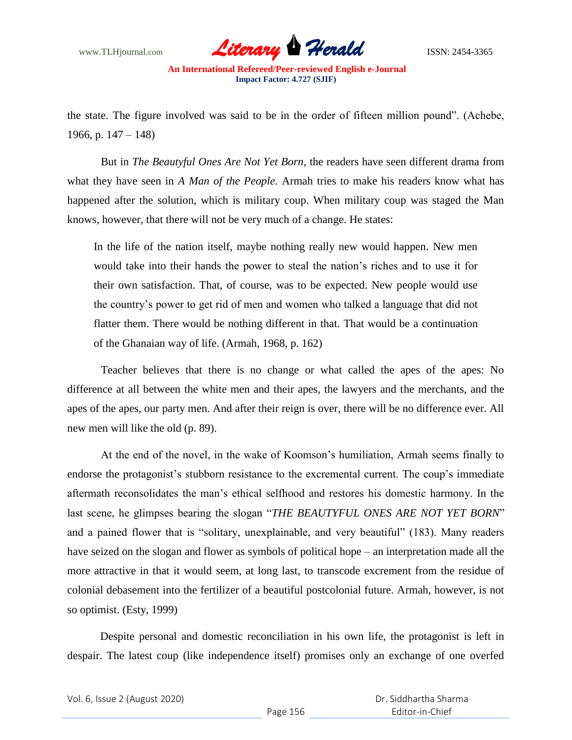

the state. The figure involved was said to be in the order of fifteen million pound". (Achebe, 1966, p.  $147 - 148$ 

But in *The Beautyful Ones Are Not Yet Born*, the readers have seen different drama from what they have seen in *A Man of the People*. Armah tries to make his readers know what has happened after the solution, which is military coup. When military coup was staged the Man knows, however, that there will not be very much of a change. He states:

In the life of the nation itself, maybe nothing really new would happen. New men would take into their hands the power to steal the nation"s riches and to use it for their own satisfaction. That, of course, was to be expected. New people would use the country"s power to get rid of men and women who talked a language that did not flatter them. There would be nothing different in that. That would be a continuation of the Ghanaian way of life. (Armah, 1968, p. 162)

Teacher believes that there is no change or what called the apes of the apes: No difference at all between the white men and their apes, the lawyers and the merchants, and the apes of the apes, our party men. And after their reign is over, there will be no difference ever. All new men will like the old (p. 89).

At the end of the novel, in the wake of Koomson"s humiliation, Armah seems finally to endorse the protagonist's stubborn resistance to the excremental current. The coup's immediate aftermath reconsolidates the man"s ethical selfhood and restores his domestic harmony. In the last scene, he glimpses bearing the slogan "*THE BEAUTYFUL ONES ARE NOT YET BORN*" and a pained flower that is "solitary, unexplainable, and very beautiful" (183). Many readers have seized on the slogan and flower as symbols of political hope – an interpretation made all the more attractive in that it would seem, at long last, to transcode excrement from the residue of colonial debasement into the fertilizer of a beautiful postcolonial future. Armah, however, is not so optimist. (Esty, 1999)

Despite personal and domestic reconciliation in his own life, the protagonist is left in despair. The latest coup (like independence itself) promises only an exchange of one overfed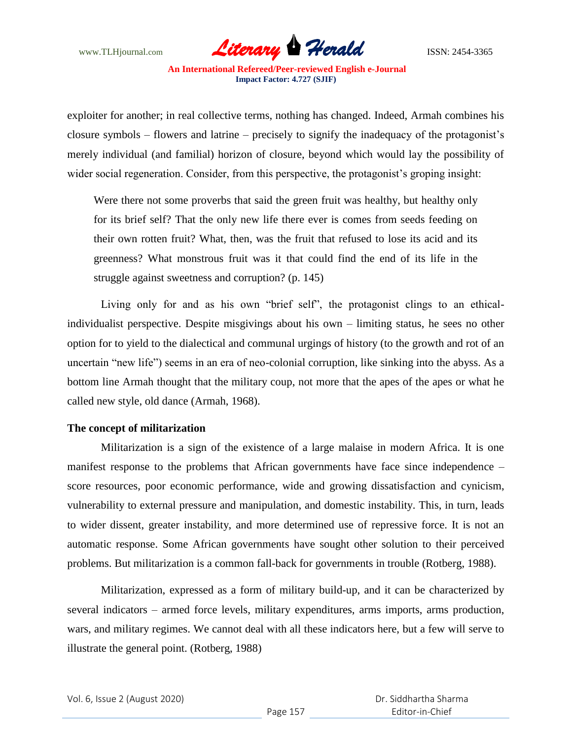

exploiter for another; in real collective terms, nothing has changed. Indeed, Armah combines his closure symbols – flowers and latrine – precisely to signify the inadequacy of the protagonist"s merely individual (and familial) horizon of closure, beyond which would lay the possibility of wider social regeneration. Consider, from this perspective, the protagonist's groping insight:

Were there not some proverbs that said the green fruit was healthy, but healthy only for its brief self? That the only new life there ever is comes from seeds feeding on their own rotten fruit? What, then, was the fruit that refused to lose its acid and its greenness? What monstrous fruit was it that could find the end of its life in the struggle against sweetness and corruption? (p. 145)

Living only for and as his own "brief self", the protagonist clings to an ethicalindividualist perspective. Despite misgivings about his own – limiting status, he sees no other option for to yield to the dialectical and communal urgings of history (to the growth and rot of an uncertain "new life") seems in an era of neo-colonial corruption, like sinking into the abyss. As a bottom line Armah thought that the military coup, not more that the apes of the apes or what he called new style, old dance (Armah, 1968).

### **The concept of militarization**

Militarization is a sign of the existence of a large malaise in modern Africa. It is one manifest response to the problems that African governments have face since independence – score resources, poor economic performance, wide and growing dissatisfaction and cynicism, vulnerability to external pressure and manipulation, and domestic instability. This, in turn, leads to wider dissent, greater instability, and more determined use of repressive force. It is not an automatic response. Some African governments have sought other solution to their perceived problems. But militarization is a common fall-back for governments in trouble (Rotberg, 1988).

Militarization, expressed as a form of military build-up, and it can be characterized by several indicators – armed force levels, military expenditures, arms imports, arms production, wars, and military regimes. We cannot deal with all these indicators here, but a few will serve to illustrate the general point. (Rotberg, 1988)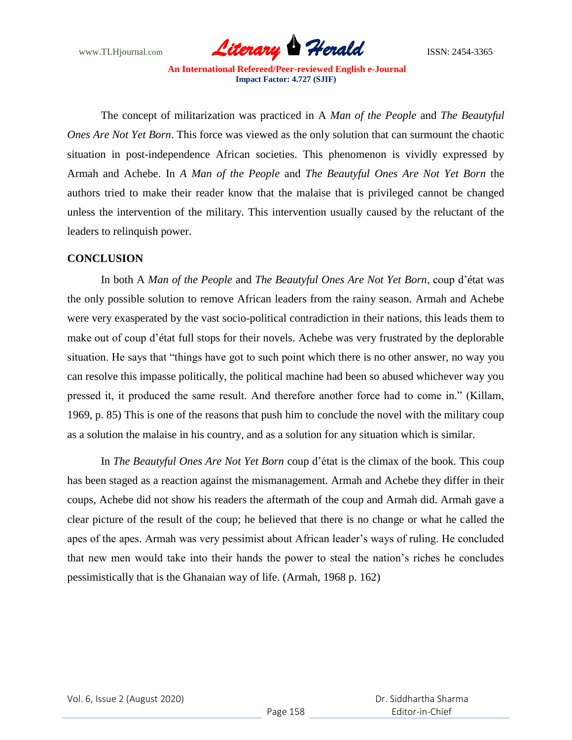

The concept of militarization was practiced in A *Man of the People* and *The Beautyful Ones Are Not Yet Born*. This force was viewed as the only solution that can surmount the chaotic situation in post-independence African societies. This phenomenon is vividly expressed by Armah and Achebe. In *A Man of the People* and *The Beautyful Ones Are Not Yet Born* the authors tried to make their reader know that the malaise that is privileged cannot be changed unless the intervention of the military. This intervention usually caused by the reluctant of the leaders to relinquish power.

# **CONCLUSION**

In both A *Man of the People* and *The Beautyful Ones Are Not Yet Born*, coup d"état was the only possible solution to remove African leaders from the rainy season. Armah and Achebe were very exasperated by the vast socio-political contradiction in their nations, this leads them to make out of coup d"état full stops for their novels. Achebe was very frustrated by the deplorable situation. He says that "things have got to such point which there is no other answer, no way you can resolve this impasse politically, the political machine had been so abused whichever way you pressed it, it produced the same result. And therefore another force had to come in." (Killam, 1969, p. 85) This is one of the reasons that push him to conclude the novel with the military coup as a solution the malaise in his country, and as a solution for any situation which is similar.

In *The Beautyful Ones Are Not Yet Born* coup d"état is the climax of the book. This coup has been staged as a reaction against the mismanagement. Armah and Achebe they differ in their coups, Achebe did not show his readers the aftermath of the coup and Armah did. Armah gave a clear picture of the result of the coup; he believed that there is no change or what he called the apes of the apes. Armah was very pessimist about African leader"s ways of ruling. He concluded that new men would take into their hands the power to steal the nation"s riches he concludes pessimistically that is the Ghanaian way of life. (Armah, 1968 p. 162)